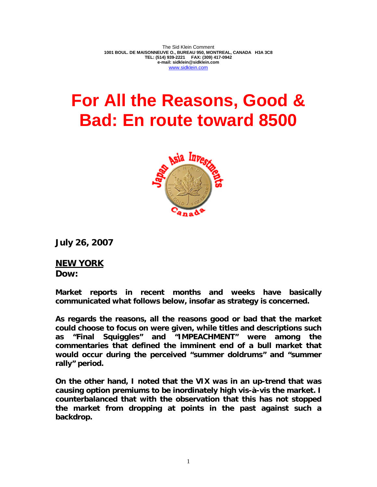The Sid Klein Comment **1001 BOUL. DE MAISONNEUVE O., BUREAU 950, MONTREAL, CANADA H3A 3C8 TEL: (514) 939-2221 FAX: (309) 417-0942 e-mail: sidklein@sidklein.com**  www.sidklein.com

## **For All the Reasons, Good & Bad: En route toward 8500**



**July 26, 2007** 

**NEW YORK Dow:** 

**Market reports in recent months and weeks have basically communicated what follows below, insofar as strategy is concerned.** 

**As regards the reasons, all the reasons good or bad that the market could choose to focus on were given, while titles and descriptions such as "Final Squiggles" and "IMPEACHMENT" were among the commentaries that defined the imminent end of a bull market that would occur during the perceived "summer doldrums" and "summer rally" period.** 

**On the other hand, I noted that the VIX was in an up-trend that was causing option premiums to be inordinately high vis-à-vis the market. I counterbalanced that with the observation that this has not stopped the market from dropping at points in the past against such a backdrop.**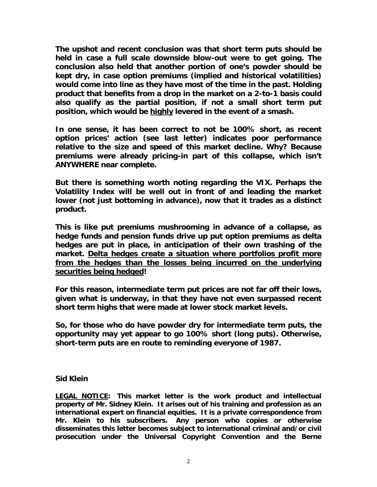**The upshot and recent conclusion was that short term puts should be held in case a full scale downside blow-out were to get going. The conclusion also held that another portion of one's powder should be kept dry, in case option premiums (implied and historical volatilities) would come into line as they have most of the time in the past. Holding product that benefits from a drop in the market on a 2-to-1 basis could also qualify as the partial position, if not a small short term put position, which would be highly levered in the event of a smash.** 

**In one sense, it has been correct to not be 100% short, as recent option prices' action (see last letter) indicates poor performance relative to the size and speed of this market decline. Why? Because premiums were already pricing-in part of this collapse, which isn't ANYWHERE near complete.** 

**But there is something worth noting regarding the VIX. Perhaps the Volatility Index will be well out in front of and leading the market lower (not just bottoming in advance), now that it trades as a distinct product.** 

**This is like put premiums mushrooming in advance of a collapse, as hedge funds and pension funds drive up put option premiums as delta hedges are put in place, in anticipation of their own trashing of the market. Delta hedges create a situation where portfolios profit more from the hedges than the losses being incurred on the underlying securities being hedged!** 

**For this reason, intermediate term put prices are not far off their lows, given what is underway, in that they have not even surpassed recent short term highs that were made at lower stock market levels.** 

**So, for those who do have powder dry for intermediate term puts, the opportunity may yet appear to go 100% short (long puts). Otherwise, short-term puts are en route to reminding everyone of 1987.** 

## **Sid Klein**

**LEGAL NOTICE: This market letter is the work product and intellectual property of Mr. Sidney Klein. It arises out of his training and profession as an international expert on financial equities. It is a private correspondence from Mr. Klein to his subscribers. Any person who copies or otherwise disseminates this letter becomes subject to international criminal and/or civil prosecution under the Universal Copyright Convention and the Berne**